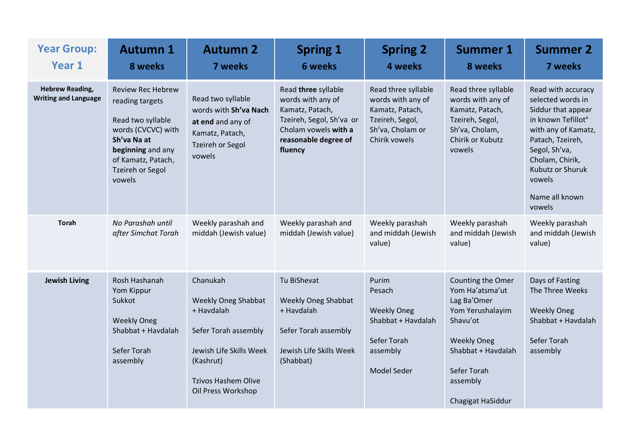| <b>Year Group:</b><br>Year 1                          | <b>Autumn 1</b><br>8 weeks                                                                                                                                                            | <b>Autumn 2</b><br>7 weeks                                                                                                                                               | <b>Spring 1</b><br><b>6 weeks</b>                                                                                                                  | <b>Spring 2</b><br>4 weeks                                                                                          | <b>Summer 1</b><br>8 weeks                                                                                                                                                      | <b>Summer 2</b><br>7 weeks                                                                                                                                                                                                                      |
|-------------------------------------------------------|---------------------------------------------------------------------------------------------------------------------------------------------------------------------------------------|--------------------------------------------------------------------------------------------------------------------------------------------------------------------------|----------------------------------------------------------------------------------------------------------------------------------------------------|---------------------------------------------------------------------------------------------------------------------|---------------------------------------------------------------------------------------------------------------------------------------------------------------------------------|-------------------------------------------------------------------------------------------------------------------------------------------------------------------------------------------------------------------------------------------------|
| <b>Hebrew Reading,</b><br><b>Writing and Language</b> | <b>Review Rec Hebrew</b><br>reading targets<br>Read two syllable<br>words (CVCVC) with<br>Sh'va Na at<br>beginning and any<br>of Kamatz, Patach,<br><b>Tzeireh or Segol</b><br>vowels | Read two syllable<br>words with Sh'va Nach<br>at end and any of<br>Kamatz, Patach,<br>Tzeireh or Segol<br>vowels                                                         | Read three syllable<br>words with any of<br>Kamatz, Patach,<br>Tzeireh, Segol, Sh'va or<br>Cholam vowels with a<br>reasonable degree of<br>fluency | Read three syllable<br>words with any of<br>Kamatz, Patach,<br>Tzeireh, Segol,<br>Sh'va, Cholam or<br>Chirik vowels | Read three syllable<br>words with any of<br>Kamatz, Patach,<br>Tzeireh, Segol,<br>Sh'va, Cholam,<br>Chirik or Kubutz<br>vowels                                                  | Read with accuracy<br>selected words in<br>Siddur that appear<br>in known Tefillot <sup>a</sup><br>with any of Kamatz,<br>Patach, Tzeireh,<br>Segol, Sh'va,<br>Cholam, Chirik,<br><b>Kubutz or Shuruk</b><br>vowels<br>Name all known<br>vowels |
| <b>Torah</b>                                          | No Parashah until<br>after Simchat Torah                                                                                                                                              | Weekly parashah and<br>middah (Jewish value)                                                                                                                             | Weekly parashah and<br>middah (Jewish value)                                                                                                       | Weekly parashah<br>and middah (Jewish<br>value)                                                                     | Weekly parashah<br>and middah (Jewish<br>value)                                                                                                                                 | Weekly parashah<br>and middah (Jewish<br>value)                                                                                                                                                                                                 |
| <b>Jewish Living</b>                                  | Rosh Hashanah<br>Yom Kippur<br>Sukkot<br><b>Weekly Oneg</b><br>Shabbat + Havdalah<br>Sefer Torah<br>assembly                                                                          | Chanukah<br><b>Weekly Oneg Shabbat</b><br>+ Havdalah<br>Sefer Torah assembly<br>Jewish Life Skills Week<br>(Kashrut)<br><b>Tzivos Hashem Olive</b><br>Oil Press Workshop | Tu BiShevat<br><b>Weekly Oneg Shabbat</b><br>+ Havdalah<br>Sefer Torah assembly<br>Jewish Life Skills Week<br>(Shabbat)                            | Purim<br>Pesach<br><b>Weekly Oneg</b><br>Shabbat + Havdalah<br>Sefer Torah<br>assembly<br><b>Model Seder</b>        | Counting the Omer<br>Yom Ha'atsma'ut<br>Lag Ba'Omer<br>Yom Yerushalayim<br>Shavu'ot<br><b>Weekly Oneg</b><br>Shabbat + Havdalah<br>Sefer Torah<br>assembly<br>Chagigat HaSiddur | Days of Fasting<br>The Three Weeks<br><b>Weekly Oneg</b><br>Shabbat + Haydalah<br>Sefer Torah<br>assembly                                                                                                                                       |